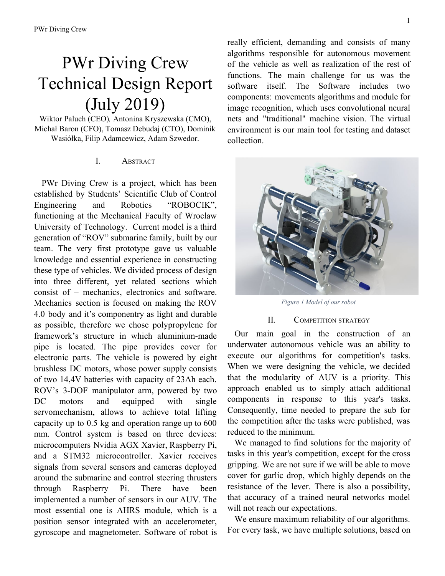# PWr Diving Crew Technical Design Report (July 2019)

Wiktor Paluch (CEO)*,* Antonina Kryszewska (CMO), Michał Baron (CFO), Tomasz Debudaj (CTO), Dominik Wasiółka, Filip Adamcewicz, Adam Szwedor.

# I. ABSTRACT

PWr Diving Crew is a project, which has been established by Students' Scientific Club of Control Engineering and Robotics "ROBOCIK", functioning at the Mechanical Faculty of Wroclaw University of Technology. Current model is a third generation of "ROV" submarine family, built by our team. The very first prototype gave us valuable knowledge and essential experience in constructing these type of vehicles. We divided process of design into three different, yet related sections which consist of – mechanics, electronics and software. Mechanics section is focused on making the ROV 4.0 body and it's componentry as light and durable as possible, therefore we chose polypropylene for framework's structure in which aluminium-made pipe is located. The pipe provides cover for electronic parts. The vehicle is powered by eight brushless DC motors, whose power supply consists of two 14,4V batteries with capacity of 23Ah each. ROV's 3-DOF manipulator arm, powered by two DC motors and equipped with single servomechanism, allows to achieve total lifting capacity up to 0.5 kg and operation range up to 600 mm. Control system is based on three devices: microcomputers Nvidia AGX Xavier, Raspberry Pi, and a STM32 microcontroller. Xavier receives signals from several sensors and cameras deployed around the submarine and control steering thrusters through Raspberry Pi. There have been implemented a number of sensors in our AUV. The most essential one is AHRS module, which is a position sensor integrated with an accelerometer, gyroscope and magnetometer. Software of robot is really efficient, demanding and consists of many algorithms responsible for autonomous movement of the vehicle as well as realization of the rest of functions. The main challenge for us was the software itself. The Software includes two components: movements algorithms and module for image recognition, which uses convolutional neural nets and "traditional" machine vision. The virtual environment is our main tool for testing and dataset collection.



*Figure 1 Model of our robot*

## II. COMPETITION STRATEGY

Our main goal in the construction of an underwater autonomous vehicle was an ability to execute our algorithms for competition's tasks. When we were designing the vehicle, we decided that the modularity of AUV is a priority. This approach enabled us to simply attach additional components in response to this year's tasks. Consequently, time needed to prepare the sub for the competition after the tasks were published, was reduced to the minimum.

We managed to find solutions for the majority of tasks in this year's competition, except for the cross gripping. We are not sure if we will be able to move cover for garlic drop, which highly depends on the resistance of the lever. There is also a possibility, that accuracy of a trained neural networks model will not reach our expectations.

We ensure maximum reliability of our algorithms. For every task, we have multiple solutions, based on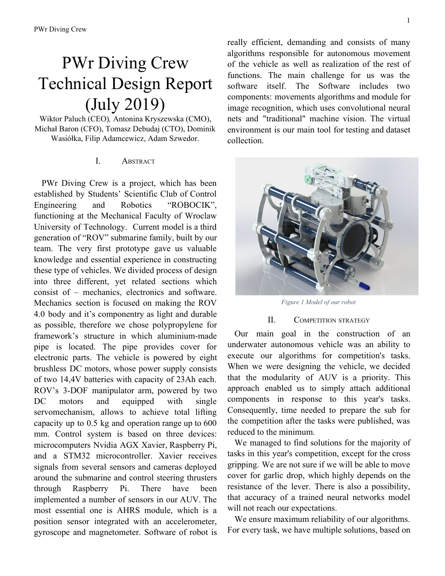a different approach to the problem. We choose these ones, which perform best on tests. Therefore there is an ability to change solution by the simple interface.

Last year it turned out that quick access to the heart of vehicle is critical. This model of AUV is equipped with two simple latches which block entrance to the interior, in opposite to last year model's 23 screws.

Our main tool for testing and dataset collection is the simulation. We have limited access to a pool, so the virtual environment is much helpful. Also, preparation of actual models of tasks is time-consuming, so virtual environment enables us to have an overview of the model of underwater elements and gives us the ability to test algorithms.



*Figure 2 Interior of our robot.*

#### III. DESIGN CREATIVITY

In order to fulfill the assumptions listed in the previous point, the team had to rely on the experience gained during the last year's construction to analyze the available options, then select and apply the best ones and use experience to prepare a better construction. Thus, the following applies:

### *A. Mechanics*

To ensure enough space for all componentry and sensors, we decided to built bigger vehicle than last year. The framework is made of polypropylene (PP) which due to its properties has replaced much heavier materials. In addition it has a high resistance to aquatic environment conditions and provides natural buoyancy. In order to improve rigidity, the whole structure was reinforced with fibreglass PVC pipes. Due to its shape, pipes are capable of carrying additional load. Therefore it allows us to control the centre of gravity, depending on the equipment that is currently in use. Furthermore, the framework acts as the basis for eight 350W BLDC thrusters. By the use of experience, we decided to design electronic casing in cylinder shape. It is highly resistant to hydrostatic pressure. The centre of ROV's body is a pipe made of aluminium alloy of the variant 6082. In order to provide maximum recording ability for cameras mounted inside, the front cover is made of plexiglass, whereas back cover is made of aluminium alloy, to which sealed cable glands and Ethernet socket are affixed. Below the pipe, a torpedo tube (which reloading system is based on Geneva drive) and three Li-Ion batteries are situated. The ROV's "ears", which consists of sonar and hydrophones, are placed in the front. In contrast, double claw and effector are set in the back. Finally, on the upper pipes, there are main switch and the router. They are covered by a specially designed container, which is protected by a layer of resin.

#### *B. Electronics*

The most important circuit is power supply. We are using two large batteries for the demanding motors and other "power" devices, and have a smaller battery for separated "logic" circuit consisting of voltage sensitive electronic devices, such as Xavier. Man operated vehicle reed switch, allows batteries connection to power supply boards. Additionally Raspberry Pi 3B controls whether power is connected to the thrusters.

Brain of our robot is Nvidia AGX Xavier computing platform. It has a superior control over all other modules and systems. All classifiers and elements of artificial intelligence algorithms have been implemented on it. The auxiliary unit is the Raspberry Pi 3B microcomputer and a STM32 microcontroller. Their task is to execute commands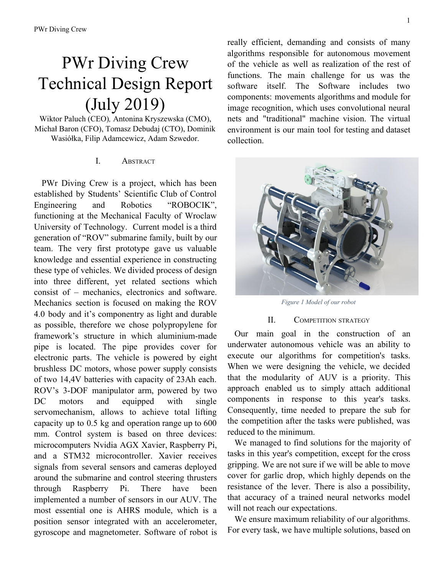from Xavier, and communicate with the rest of electronics.

Our robot is propelled by eight thrusters. We use BLDC motors, dedicated for underwater use – 350W power each. Four of them are mounted in vertical direction to maintain depth. Remaining four are mounted horizontally. Each of them is rotated 45 degrees in regard to main hull axis. Such setting allows to achieve every possible motion. In order to reduce voltage spikes on those thrusters we are using LC filters.

Regarding torpedos task, a servomechanism pulls trip wire, contactron determines when it should stop. AI positions robot, basing on readings from vision systems and sonar. When vehicle is ready Xavier transceivers signal to release energy from capacitors to electromagnets, which shoots the torpedos.

Our robot has been equipped with a system of few basic sensors.:

- AHRS an integrated accelerometer, gyroscope and magnetometer. It provides knowledge about the position and orientation of the robot with great accuracy,
- a pressure sensor with a range of 10 meters, and a depth resolution of 0.16mm, to determine vehicle's depth,
- Sonar with a range up to 30 meters, which is used to measure distance to obstacles in front of the robot, especially in the torpedos task,
- hydrophones system, used to locate tasks' locations based on ultrasound signal from pingers



*Figure 3 Communication oflements scheme*

## *C. Software*

Software is the most advanced part of our project because it basis on the mechanics and electronics. Therefore, its reliability depends on the reliability of the hardware components.

For stabilization, we used the PID regulator, based on data of the AHRS sensor.

In programming data transmission system, we mainly used Python scripts. It's easy to use language which allows writing code quickly. The efficiency of that code wasn't a problem for us because in more critical applications we used faster languages such as C. For example, code for API cameras (produced by Basler) has been written in C++ (camera's manufacturer's libraries). We made, therefore, bindings for Python.

Our main tool for real-time object detection is YOLO network. It was chosen among several other candidates (namely SSD, and multiple variants of R-CNN), mostly because it produces the best compromise between speed and accuracy and equally important - it is fast to train. YOLO is incredibly convenient to use and turned out to perform great during tests. Its main task is to both locate and classify important objects on images acquired from onboard cameras. Because we need a large, labelled and diversified dataset of images as fast as possible we used an artificial environment created in Unity 3D Engine. The simulation has also the ability to change water transparency and lighting conditions of the simulated environment. Such an approach allows us to create large and perfectly labelled data in matters of hours. Later on, we expanded datasets with images taken on real objects, which we constructed based on competition datasheets. To have an alternative in case of failure, we also prepared some more classical solutions using Hough transform and Haar Cascade. They are considerably slower and less reliable but can be tuned to different lighting and other environmental conditions much faster than neural networks.

We also used reinforcement learning for training of neural net which is in full control over AUV. For training, we use a feature of simulation. We achieve success and high reliability of this solution, but it turned out to but hard to write proper fit function, so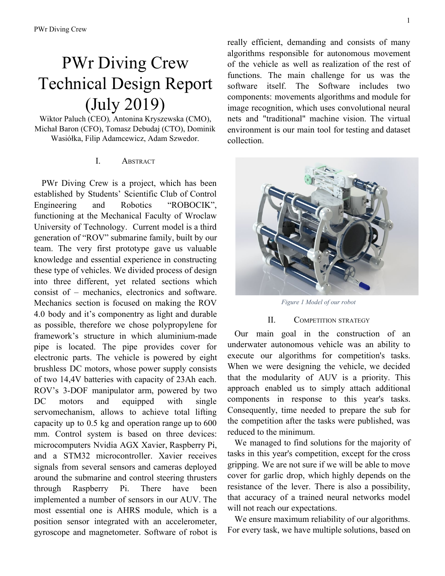time for preparation model for a particular task was very time-consuming.

Simulation is also able to emulate vehicle and environment physics, so we can examine algorithms without using real pool and AUV.

Every task had multiple solutions, for example, the gate can be detected by a trained neural network or algorithm, which implements Haar Cascade.

# IV. EXPERIMENTAL RESULTS

Design of current autonomous operated vehicle developed by our team is based mainly on the experience gathered during previous season and construction of prototype submarine. This allowed us to draw following conclusions:

• Algorithms based on colour filtering are highly depended on lighting condition and water transparency, so there is a need to calibrate the filter variables when conditions severely change;



*Figure 4 Path axis detection on Robosub 2018 video*

- the frame should be made of POM or aluminium to ensure more stiffness;
- the proper trained neural network is resistant to various environment conditions;
- the additional distance sensor (sonar) directed to the bottom should be added as additional collision protection;
- a vent valve facilitates main the container closing.



*Figure 5 Submarine during tests*

#### V. ACKNOWLEDGEMENTS

PWr Diving Crew would like to thank all those who were involved in the creation of this project, first of all the members of the entire team and our parent unit, the Mechanical Faculty of the Wroclaw University of Science and Technology. It would also be impossible to complete the project without the help of our business partners, that is: Basler, DPS Software, Gralmarine, TME, 3Dconnexion, Botland, CNC Kramet, Husarion, Machina, Marine Distribution&Consulting, NovoTec, Teledyne, Wobit, Zakład Kół Zębatych, 3dltech, Alukwas Metale Nieżelazne, EBMiA, Euromill, Helukabel, Igus, Power Rubber, Poxico, PPG, Toya, Weber Saint-Gobain, Wimarol, zaopatrzenie24, ZAPECH. We would also like to thank the Manus Foundation for help in settling money.

#### VI. REFERENCES

- [1] A. Doucet and A. M. Johansen. A Tutorial on Particle Filtering and Smoothing: Fifteen years later. [Online]. Available: http://www.cs.ubc.ca/ arnaud/doucet johansen tutorialPF.pdf, 2008
- [2] Redmon, Joseph and Ali Farhadi. YOLO9000: Better, Faster, Stronger. arXiv preprint arXiv:1612.08242, 2016.
- [3] R. Tedrake, Underactuated Robotics: Algorithms for Walking, Running, Swimming, Flying, and Manipulation, MIT 2016.
- [4] Fossen, T., Guidance and Control of Ocean Vehicles, Wiley, 1994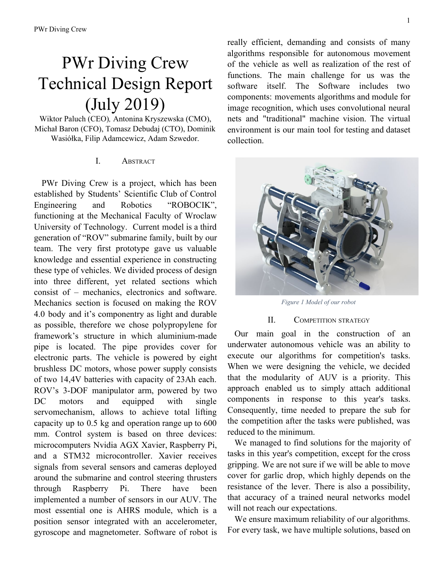# Appendix A:

| Uwdl gevlasg'O gcuwt gu''                               |                                          |                    |                  |
|---------------------------------------------------------|------------------------------------------|--------------------|------------------|
|                                                         | <b>Maximum Points</b>                    | Expected<br>Points | Points<br>Scored |
| Utility of team website                                 | 50                                       | 50                 |                  |
| Technical Merit (from journal paper)                    | 150                                      | 150                |                  |
| Written Style (from journal paper)                      | 50                                       | 40                 |                  |
| Capability for Autonomous Behavior (static judging)     | 100                                      | 100                |                  |
| Creativity in System Design (static judging)            | 100                                      | 100                |                  |
| Team Uniform (static judging)                           | 10                                       | 10                 |                  |
| Team Video                                              | 50                                       | 50                 |                  |
| Pre-Qualifying Video                                    | 100                                      | 100                |                  |
| Discretionary points (static judging)                   | 40                                       | $\boldsymbol{0}$   |                  |
| Total                                                   | 650                                      | 600                |                  |
| Rgt hqt o cpeg'O gcuwt gu''                             |                                          |                    |                  |
|                                                         | <b>Maximum Points</b>                    |                    |                  |
| Weight                                                  | See Table 1 / Vehicle                    |                    |                  |
| Marker/Torpedo over weight or size by <10%              | minus 500 / marker                       | $\boldsymbol{0}$   |                  |
| Gate: Pass through                                      | 100                                      | 100                |                  |
| Gate: Maintain fixed heading                            | 150                                      | 150                |                  |
| Gate: Coin Flip                                         | 300                                      | 300                |                  |
| Gate: Pass through 60% section                          | 200                                      | 200                |                  |
| Gate: Pass through 40% section                          | 400                                      | 400                |                  |
| Gate: Style                                             | $+100$ (8x max)                          | 100                |                  |
| Collect Pickup: Crucifix, Garlic                        | 400 / object                             | 400                |                  |
| Follow the "Path" (2 total)                             | 100 / segment                            | 200                |                  |
| Slay Vampires: Any, Called                              | 300,600                                  | 600                |                  |
| Drop Garlic: Open, Closed                               | 700, 1000 / marker $(2 + \text{pickup})$ | 700                |                  |
| Drop Garlic: Move Arm                                   | 400                                      | $\boldsymbol{0}$   |                  |
| Stake through Heart: Open Oval, Cover Oval, Sm Heart    | 800, 1000, 1200 / torpedo (max 2)        | 1200               |                  |
| Stake through Heart: Move lever                         | 400                                      | 400                |                  |
| Stake through Heart: Bonus - Cover Oval, Sm Heart       | 500                                      | 500                |                  |
| Expose to Sunlight: Surface in Area                     | 1000                                     | $\boldsymbol{0}$   |                  |
| Expose to Sunlight: Surface with object                 | 400 / object                             | 400                |                  |
| Expose to Sunlight: Open coffin                         | 400                                      | 400                |                  |
| Expose to Sunlight: Drop Pickup                         | 200 / object (Crucifix only)             | $\boldsymbol{0}$   |                  |
| Random Pinger first task                                | 500                                      | 500                |                  |
| Random Pinger second task                               | 1500                                     | 1500               |                  |
| Inter-vehicle Communication                             | 1000                                     | $\boldsymbol{0}$   |                  |
| Finish the mission with $T$ minutes (whole + factional) | Tx100                                    | $\boldsymbol{0}$   |                  |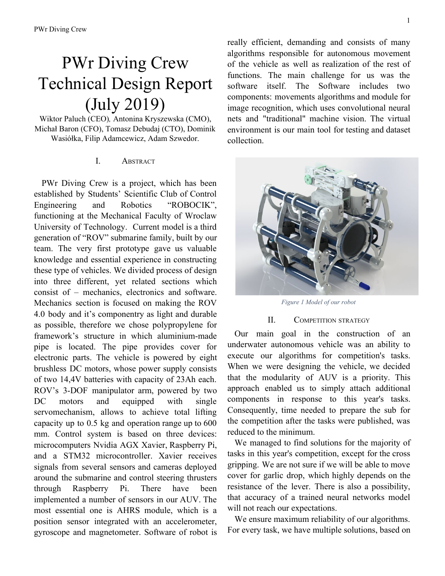# Appendix B:

| <b>Buoyancy Control</b><br>Zaopatrzeni<br>e24,<br>Wimarol<br>\$82<br><b>POM</b><br>310,00 zł<br>Frame<br>$5 \text{ mm}$<br>Adamet-Nie<br>550 - long<br>met,<br>Euromill<br>200 - diameter<br>Aluminum<br>\$526<br>2000 zł<br>Waterproof Housing<br>Cable gland<br>\$263<br>1000 zł<br>Own Design<br>stainless steel, anodized surface<br>Thrusters<br>Bluerobotics<br><b>T200</b><br>350 Watts, Waterproof, BLDC<br>\$1445<br>5500zł<br>\$226<br>Motor Control<br>Bluerobotics Basic 30A ESC max current 30A voltage 14.4V<br>860 zł<br>High Level Control<br>Actuators<br>Propellers<br>Bluerobotics with thrusters<br>8000 zł<br>Gralmarine<br>\$2100 | Eqo rqpgpv"    | Xgpf qt" | O qf gnIV{rg" | Ur geu"              | Equv' | Equv*RNP+' |
|---------------------------------------------------------------------------------------------------------------------------------------------------------------------------------------------------------------------------------------------------------------------------------------------------------------------------------------------------------------------------------------------------------------------------------------------------------------------------------------------------------------------------------------------------------------------------------------------------------------------------------------------------------|----------------|----------|---------------|----------------------|-------|------------|
|                                                                                                                                                                                                                                                                                                                                                                                                                                                                                                                                                                                                                                                         |                |          |               |                      |       |            |
|                                                                                                                                                                                                                                                                                                                                                                                                                                                                                                                                                                                                                                                         |                |          |               |                      |       |            |
|                                                                                                                                                                                                                                                                                                                                                                                                                                                                                                                                                                                                                                                         |                |          |               |                      |       |            |
|                                                                                                                                                                                                                                                                                                                                                                                                                                                                                                                                                                                                                                                         |                |          |               |                      |       |            |
|                                                                                                                                                                                                                                                                                                                                                                                                                                                                                                                                                                                                                                                         |                |          |               |                      |       |            |
|                                                                                                                                                                                                                                                                                                                                                                                                                                                                                                                                                                                                                                                         |                |          |               |                      |       |            |
|                                                                                                                                                                                                                                                                                                                                                                                                                                                                                                                                                                                                                                                         |                |          |               |                      |       |            |
|                                                                                                                                                                                                                                                                                                                                                                                                                                                                                                                                                                                                                                                         |                |          |               |                      |       |            |
|                                                                                                                                                                                                                                                                                                                                                                                                                                                                                                                                                                                                                                                         |                |          |               |                      |       |            |
|                                                                                                                                                                                                                                                                                                                                                                                                                                                                                                                                                                                                                                                         |                |          |               |                      |       |            |
|                                                                                                                                                                                                                                                                                                                                                                                                                                                                                                                                                                                                                                                         |                |          |               |                      |       |            |
|                                                                                                                                                                                                                                                                                                                                                                                                                                                                                                                                                                                                                                                         |                |          |               |                      |       |            |
|                                                                                                                                                                                                                                                                                                                                                                                                                                                                                                                                                                                                                                                         | <b>Battery</b> |          | $6,8$ Ah      | 14,4v, 98 Wh, Li-ION |       |            |
| Converter                                                                                                                                                                                                                                                                                                                                                                                                                                                                                                                                                                                                                                               |                |          |               |                      |       |            |
| Regulator                                                                                                                                                                                                                                                                                                                                                                                                                                                                                                                                                                                                                                               |                |          |               |                      |       |            |
| Raspberry<br>Pi                                                                                                                                                                                                                                                                                                                                                                                                                                                                                                                                                                                                                                         |                |          |               |                      |       |            |
| <b>CPU</b><br>3B<br>\$79,10<br><b>Botland</b><br>1GB RAM 1,2GHz<br>299,00 zł                                                                                                                                                                                                                                                                                                                                                                                                                                                                                                                                                                            |                |          |               |                      |       |            |
| Internal comm Network<br>Ethernet, SPI                                                                                                                                                                                                                                                                                                                                                                                                                                                                                                                                                                                                                  |                |          |               |                      |       |            |
| <b>TCP/IP Ethernet</b><br>External comm Interface                                                                                                                                                                                                                                                                                                                                                                                                                                                                                                                                                                                                       |                |          |               |                      |       |            |
| Programming Language 1<br>Python                                                                                                                                                                                                                                                                                                                                                                                                                                                                                                                                                                                                                        |                |          |               |                      |       |            |
| $C, C++, C#$<br>Programming Language 2                                                                                                                                                                                                                                                                                                                                                                                                                                                                                                                                                                                                                  |                |          |               |                      |       |            |
| included<br>in                                                                                                                                                                                                                                                                                                                                                                                                                                                                                                                                                                                                                                          |                |          |               |                      |       |            |
| <b>AHRS</b><br>Compass                                                                                                                                                                                                                                                                                                                                                                                                                                                                                                                                                                                                                                  |                |          |               |                      |       |            |
| Inertial<br>Measurment<br>Unit<br>\$1 461,6<br>(AHRS)<br><b>MTI-30</b><br><b>AHRS</b> sensor<br>5 525,00 zł<br>X-sense<br>4                                                                                                                                                                                                                                                                                                                                                                                                                                                                                                                             |                |          |               |                      |       |            |
| Doppler Velocity Log (DVL)                                                                                                                                                                                                                                                                                                                                                                                                                                                                                                                                                                                                                              |                |          |               |                      |       |            |
| <b>Basler</b><br>daA2500-14uc<br>3 000,00 zł                                                                                                                                                                                                                                                                                                                                                                                                                                                                                                                                                                                                            |                |          |               |                      |       |            |
| Camera(s)<br>CMOS, 14fps, 5MP, Color<br>\$793,65                                                                                                                                                                                                                                                                                                                                                                                                                                                                                                                                                                                                        |                |          |               |                      |       |            |
| \$23125,8<br>Hydrophones TC4013<br>5<br>1000,00 z1                                                                                                                                                                                                                                                                                                                                                                                                                                                                                                                                                                                                      |                |          |               |                      |       |            |
| <b>BIBUS</b><br>\$1 058,2                                                                                                                                                                                                                                                                                                                                                                                                                                                                                                                                                                                                                               |                |          |               |                      |       |            |
| PA2200<br>4 000,00 zł<br>Manipulator<br><b>MENOS</b><br>Own Design<br>$\Omega$                                                                                                                                                                                                                                                                                                                                                                                                                                                                                                                                                                          |                |          |               |                      |       |            |
| Haar cascade, convolutional neural                                                                                                                                                                                                                                                                                                                                                                                                                                                                                                                                                                                                                      |                |          |               |                      |       |            |
| edge and colour detection,<br>nets,                                                                                                                                                                                                                                                                                                                                                                                                                                                                                                                                                                                                                     |                |          |               |                      |       |            |
| Hough transform<br>Algorithms: Vision                                                                                                                                                                                                                                                                                                                                                                                                                                                                                                                                                                                                                   |                |          |               |                      |       |            |
| Algorithms: acoustics<br>phase difference                                                                                                                                                                                                                                                                                                                                                                                                                                                                                                                                                                                                               |                |          |               |                      |       |            |
| Algorithms:<br>localization<br>and<br>mapping                                                                                                                                                                                                                                                                                                                                                                                                                                                                                                                                                                                                           |                |          |               |                      |       |            |
| Algorithms: Autonomy                                                                                                                                                                                                                                                                                                                                                                                                                                                                                                                                                                                                                                    |                |          |               |                      |       |            |
| Open source software<br><b>YOLO</b>                                                                                                                                                                                                                                                                                                                                                                                                                                                                                                                                                                                                                     |                |          |               |                      |       |            |
| Team Size<br>50                                                                                                                                                                                                                                                                                                                                                                                                                                                                                                                                                                                                                                         |                |          |               |                      |       |            |
| HW/SW expertise ratio<br>1,57                                                                                                                                                                                                                                                                                                                                                                                                                                                                                                                                                                                                                           |                |          |               |                      |       |            |
| Testing time: simulation<br>100h                                                                                                                                                                                                                                                                                                                                                                                                                                                                                                                                                                                                                        |                |          |               |                      |       |            |
| Testing time: in-water<br>35h                                                                                                                                                                                                                                                                                                                                                                                                                                                                                                                                                                                                                           |                |          |               |                      |       |            |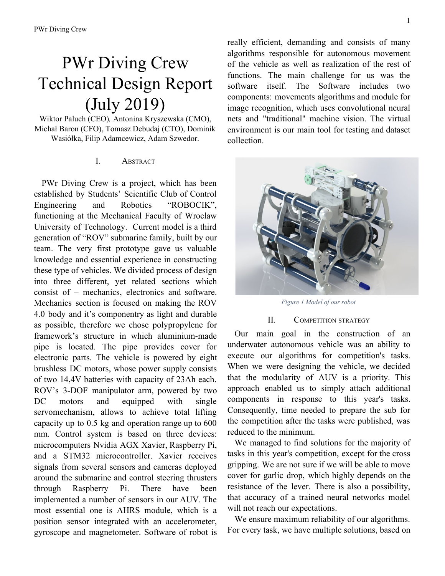Appendix C:

This year, the Scientific Club of Robotics "Robocik" actively participated in the education of the local community. In the name of idea: spreading knowledge and science, we took part in many projects, both free and those in which we obtained funds. The main ones are:

- Underwater-robot project realized as part of "Zawodowy Dolny Śląsk" program. As part of it, we conducted a total of 36 hours of training closely related to the subject of submarine technologies, with particular emphasis on software development. Technician students who were beneficiaries of the classes learned the ins and outs of programming in  $C +$ on a practical example of programming electronic circuits in AUV.
- Project of the Industrial Robot realized as part of "Zawodowy Dolny Śląsk" program. For more than 62 hours of joint classes, it was possible to present the problems of programming manipulators with 6 degrees of freedom. Both training on programming in C++ and basic information on simple and inverse kinematics were conducted.
- Classes conducted as part of the "Zawodowy Dolny Śląsk" program. Classes mainly concerned two topics related to submarines. The first of them concerned electric motors, while the second of them were microcontrollers. As a part of this project, a total of 400 people were trained in 240 hours.
- Scientific Picnic of Polish Radio and The Copernicus Science Center. During the event which took place at the National Stadium in Warsaw, many young potential inventors were inspired by the subject of submarines.
- "Technikalia". Teaching aimed to acquaint students who aren't actively involved in student activities with additive manufacturing. The event took place in Wroclaw University of Science and Technology. As a result of the course, 20 people were trained
- "Czas na zawodowców". Organised by Lower Silesian Marshal Office and aimed to improve skills of vocational schools students in order to help them with their start on labor market. The event consisted of series of weekly trips to Bożków, where daily classes were held by members of "Robocik" team - 40 hours during a week. Participants had an opportunity to learn about 3D printing and 3D modelling. More than 200 people benefited from this project.
- "Rajd po Wałbrzyskiej Strefie Ekonomicznej" - we have visited and have been presenting our latest development at conference organised by Walbrzych Special Economic Zone, which interested many investors - about 220 companies are currently in the WSEZ.
- POTENCJOmetr a contest which aims to award the best students' scientific project. By taking part, students of "Robocik" were able to exchange knowledge with groups of the best students in Poland. We also compete or act as special guests in various robotic tournaments: Robotic Arena, Robodrift, Robomaticon, because of the idea of popularizing our inventions and ideas.